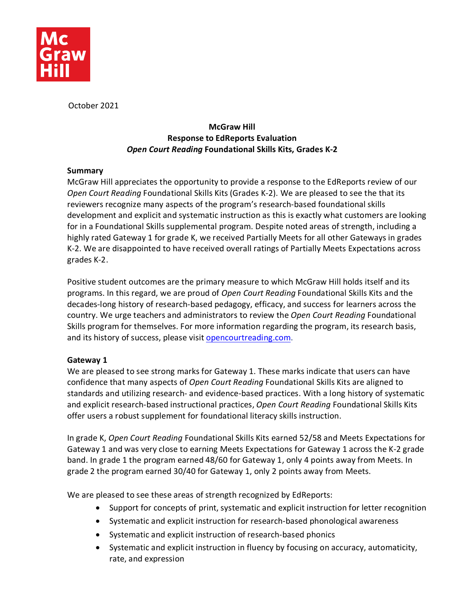

October 2021

# **McGraw Hill Response to EdReports Evaluation** *Open Court Reading* **Foundational Skills Kits, Grades K-2**

## **Summary**

McGraw Hill appreciates the opportunity to provide a response to the EdReports review of our *Open Court Reading* Foundational Skills Kits (Grades K-2). We are pleased to see the that its reviewers recognize many aspects of the program's research-based foundational skills development and explicit and systematic instruction as this is exactly what customers are looking for in a Foundational Skills supplemental program. Despite noted areas of strength, including a highly rated Gateway 1 for grade K, we received Partially Meets for all other Gateways in grades K-2. We are disappointed to have received overall ratings of Partially Meets Expectations across grades K-2.

Positive student outcomes are the primary measure to which McGraw Hill holds itself and its programs. In this regard, we are proud of *Open Court Reading* Foundational Skills Kits and the decades-long history of research-based pedagogy, efficacy, and success for learners across the country. We urge teachers and administrators to review the *Open Court Reading* Foundational Skills program for themselves. For more information regarding the program, its research basis, and its history of success, please visit [opencourtreading.com.](http://www.opencourtreading.com/)

## **Gateway 1**

We are pleased to see strong marks for Gateway 1. These marks indicate that users can have confidence that many aspects of *Open Court Reading* Foundational Skills Kits are aligned to standards and utilizing research- and evidence-based practices. With a long history of systematic and explicit research-based instructional practices, *Open Court Reading* Foundational Skills Kits offer users a robust supplement for foundational literacy skills instruction.

In grade K, *Open Court Reading* Foundational Skills Kits earned 52/58 and Meets Expectations for Gateway 1 and was very close to earning Meets Expectations for Gateway 1 across the K-2 grade band. In grade 1 the program earned 48/60 for Gateway 1, only 4 points away from Meets. In grade 2 the program earned 30/40 for Gateway 1, only 2 points away from Meets.

We are pleased to see these areas of strength recognized by EdReports:

- Support for concepts of print, systematic and explicit instruction for letter recognition
- Systematic and explicit instruction for research-based phonological awareness
- Systematic and explicit instruction of research-based phonics
- Systematic and explicit instruction in fluency by focusing on accuracy, automaticity, rate, and expression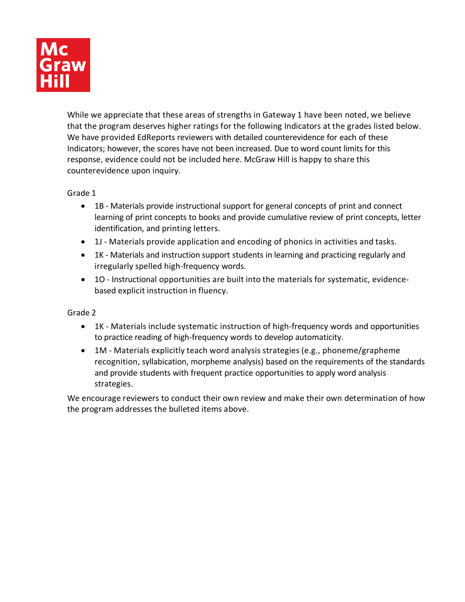

While we appreciate that these areas of strengths in Gateway 1 have been noted, we believe that the program deserves higher ratings for the following Indicators at the grades listed below. We have provided EdReports reviewers with detailed counterevidence for each of these Indicators; however, the scores have not been increased. Due to word count limits for this response, evidence could not be included here. McGraw Hill is happy to share this counterevidence upon inquiry.

Grade 1

- 1B Materials provide instructional support for general concepts of print and connect learning of print concepts to books and provide cumulative review of print concepts, letter identification, and printing letters.
- 1J Materials provide application and encoding of phonics in activities and tasks.
- 1K Materials and instruction support students in learning and practicing regularly and irregularly spelled high-frequency words.
- 1O Instructional opportunities are built into the materials for systematic, evidencebased explicit instruction in fluency.

Grade 2

- 1K Materials include systematic instruction of high-frequency words and opportunities to practice reading of high-frequency words to develop automaticity.
- 1M Materials explicitly teach word analysis strategies (e.g., phoneme/grapheme recognition, syllabication, morpheme analysis) based on the requirements of the standards and provide students with frequent practice opportunities to apply word analysis strategies.

We encourage reviewers to conduct their own review and make their own determination of how the program addresses the bulleted items above.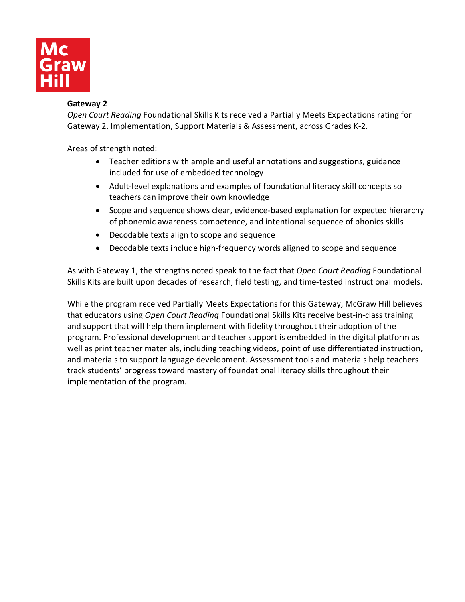

#### **Gateway 2**

*Open Court Reading* Foundational Skills Kits received a Partially Meets Expectations rating for Gateway 2, Implementation, Support Materials & Assessment, across Grades K-2.

Areas of strength noted:

- Teacher editions with ample and useful annotations and suggestions, guidance included for use of embedded technology
- Adult-level explanations and examples of foundational literacy skill concepts so teachers can improve their own knowledge
- Scope and sequence shows clear, evidence-based explanation for expected hierarchy of phonemic awareness competence, and intentional sequence of phonics skills
- Decodable texts align to scope and sequence
- Decodable texts include high-frequency words aligned to scope and sequence

As with Gateway 1, the strengths noted speak to the fact that *Open Court Reading* Foundational Skills Kits are built upon decades of research, field testing, and time-tested instructional models.

While the program received Partially Meets Expectations for this Gateway, McGraw Hill believes that educators using *Open Court Reading* Foundational Skills Kits receive best-in-class training and support that will help them implement with fidelity throughout their adoption of the program. Professional development and teacher support is embedded in the digital platform as well as print teacher materials, including teaching videos, point of use differentiated instruction, and materials to support language development. Assessment tools and materials help teachers track students' progress toward mastery of foundational literacy skills throughout their implementation of the program.